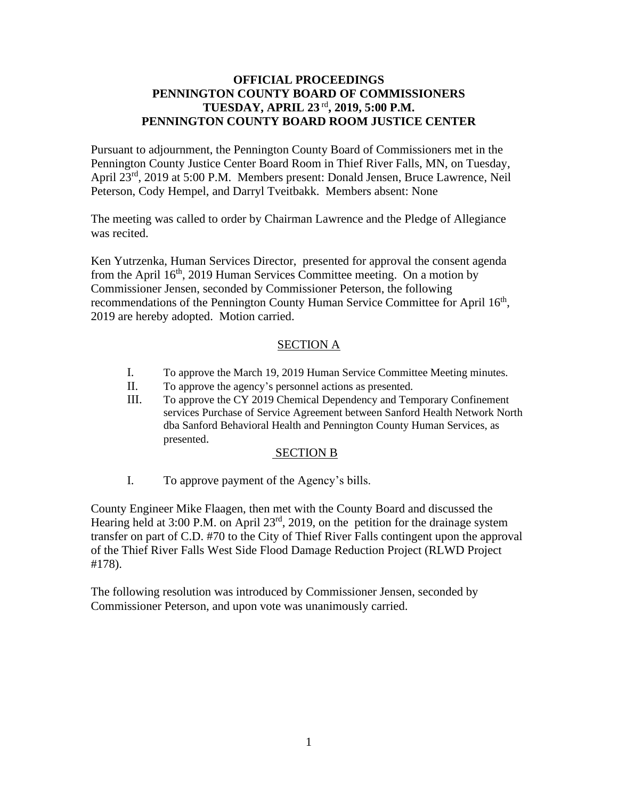# **OFFICIAL PROCEEDINGS PENNINGTON COUNTY BOARD OF COMMISSIONERS TUESDAY, APRIL 23** rd **, 2019, 5:00 P.M. PENNINGTON COUNTY BOARD ROOM JUSTICE CENTER**

Pursuant to adjournment, the Pennington County Board of Commissioners met in the Pennington County Justice Center Board Room in Thief River Falls, MN, on Tuesday, April 23rd, 2019 at 5:00 P.M. Members present: Donald Jensen, Bruce Lawrence, Neil Peterson, Cody Hempel, and Darryl Tveitbakk. Members absent: None

The meeting was called to order by Chairman Lawrence and the Pledge of Allegiance was recited.

Ken Yutrzenka, Human Services Director, presented for approval the consent agenda from the April 16<sup>th</sup>, 2019 Human Services Committee meeting. On a motion by Commissioner Jensen, seconded by Commissioner Peterson, the following recommendations of the Pennington County Human Service Committee for April 16<sup>th</sup>, 2019 are hereby adopted. Motion carried.

# SECTION A

- I. To approve the March 19, 2019 Human Service Committee Meeting minutes.
- II. To approve the agency's personnel actions as presented.
- III. To approve the CY 2019 Chemical Dependency and Temporary Confinement services Purchase of Service Agreement between Sanford Health Network North dba Sanford Behavioral Health and Pennington County Human Services, as presented.

#### SECTION B

I. To approve payment of the Agency's bills.

County Engineer Mike Flaagen, then met with the County Board and discussed the Hearing held at 3:00 P.M. on April 23<sup>rd</sup>, 2019, on the petition for the drainage system transfer on part of C.D. #70 to the City of Thief River Falls contingent upon the approval of the Thief River Falls West Side Flood Damage Reduction Project (RLWD Project #178).

The following resolution was introduced by Commissioner Jensen, seconded by Commissioner Peterson, and upon vote was unanimously carried.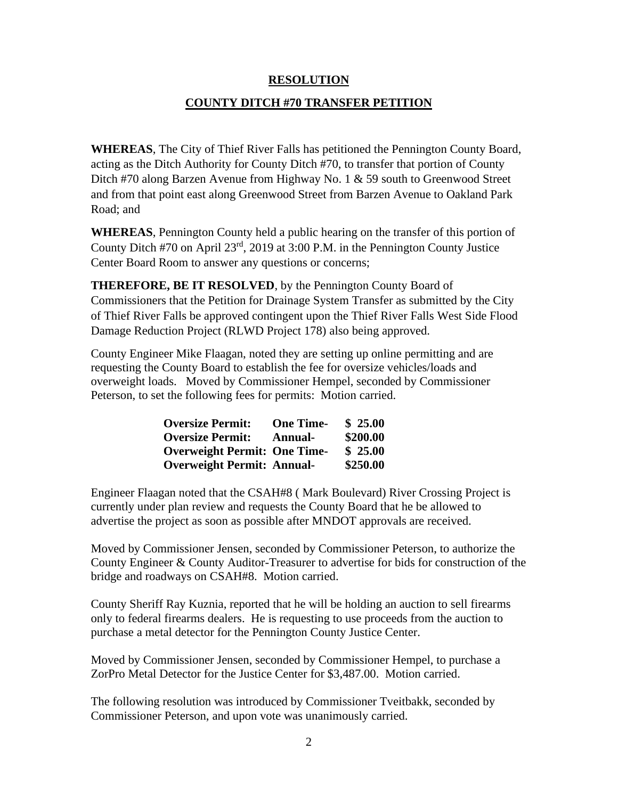# **RESOLUTION**

# **COUNTY DITCH #70 TRANSFER PETITION**

**WHEREAS**, The City of Thief River Falls has petitioned the Pennington County Board, acting as the Ditch Authority for County Ditch #70, to transfer that portion of County Ditch #70 along Barzen Avenue from Highway No. 1 & 59 south to Greenwood Street and from that point east along Greenwood Street from Barzen Avenue to Oakland Park Road; and

**WHEREAS**, Pennington County held a public hearing on the transfer of this portion of County Ditch #70 on April 23rd, 2019 at 3:00 P.M. in the Pennington County Justice Center Board Room to answer any questions or concerns;

**THEREFORE, BE IT RESOLVED**, by the Pennington County Board of Commissioners that the Petition for Drainage System Transfer as submitted by the City of Thief River Falls be approved contingent upon the Thief River Falls West Side Flood Damage Reduction Project (RLWD Project 178) also being approved.

County Engineer Mike Flaagan, noted they are setting up online permitting and are requesting the County Board to establish the fee for oversize vehicles/loads and overweight loads. Moved by Commissioner Hempel, seconded by Commissioner Peterson, to set the following fees for permits: Motion carried.

| <b>Oversize Permit:</b>             | <b>One Time-</b> | \$25.00  |
|-------------------------------------|------------------|----------|
| <b>Oversize Permit:</b>             | <b>Annual-</b>   | \$200.00 |
| <b>Overweight Permit: One Time-</b> |                  | \$25.00  |
| <b>Overweight Permit: Annual-</b>   |                  | \$250.00 |

Engineer Flaagan noted that the CSAH#8 ( Mark Boulevard) River Crossing Project is currently under plan review and requests the County Board that he be allowed to advertise the project as soon as possible after MNDOT approvals are received.

Moved by Commissioner Jensen, seconded by Commissioner Peterson, to authorize the County Engineer & County Auditor-Treasurer to advertise for bids for construction of the bridge and roadways on CSAH#8. Motion carried.

County Sheriff Ray Kuznia, reported that he will be holding an auction to sell firearms only to federal firearms dealers. He is requesting to use proceeds from the auction to purchase a metal detector for the Pennington County Justice Center.

Moved by Commissioner Jensen, seconded by Commissioner Hempel, to purchase a ZorPro Metal Detector for the Justice Center for \$3,487.00. Motion carried.

The following resolution was introduced by Commissioner Tveitbakk, seconded by Commissioner Peterson, and upon vote was unanimously carried.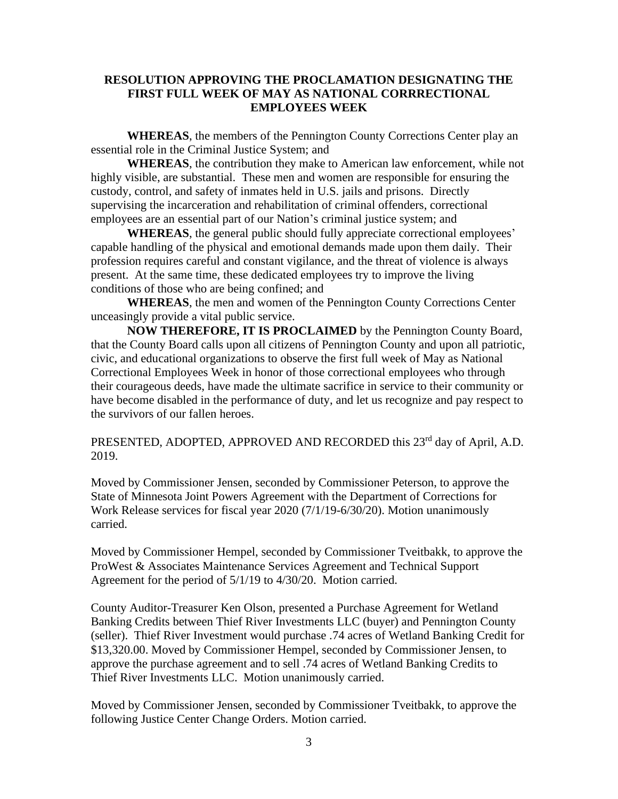## **RESOLUTION APPROVING THE PROCLAMATION DESIGNATING THE FIRST FULL WEEK OF MAY AS NATIONAL CORRRECTIONAL EMPLOYEES WEEK**

**WHEREAS**, the members of the Pennington County Corrections Center play an essential role in the Criminal Justice System; and

**WHEREAS**, the contribution they make to American law enforcement, while not highly visible, are substantial. These men and women are responsible for ensuring the custody, control, and safety of inmates held in U.S. jails and prisons. Directly supervising the incarceration and rehabilitation of criminal offenders, correctional employees are an essential part of our Nation's criminal justice system; and

**WHEREAS**, the general public should fully appreciate correctional employees' capable handling of the physical and emotional demands made upon them daily. Their profession requires careful and constant vigilance, and the threat of violence is always present. At the same time, these dedicated employees try to improve the living conditions of those who are being confined; and

**WHEREAS**, the men and women of the Pennington County Corrections Center unceasingly provide a vital public service.

**NOW THEREFORE, IT IS PROCLAIMED** by the Pennington County Board, that the County Board calls upon all citizens of Pennington County and upon all patriotic, civic, and educational organizations to observe the first full week of May as National Correctional Employees Week in honor of those correctional employees who through their courageous deeds, have made the ultimate sacrifice in service to their community or have become disabled in the performance of duty, and let us recognize and pay respect to the survivors of our fallen heroes.

PRESENTED, ADOPTED, APPROVED AND RECORDED this 23<sup>rd</sup> day of April, A.D. 2019.

Moved by Commissioner Jensen, seconded by Commissioner Peterson, to approve the State of Minnesota Joint Powers Agreement with the Department of Corrections for Work Release services for fiscal year 2020 (7/1/19-6/30/20). Motion unanimously carried.

Moved by Commissioner Hempel, seconded by Commissioner Tveitbakk, to approve the ProWest & Associates Maintenance Services Agreement and Technical Support Agreement for the period of 5/1/19 to 4/30/20. Motion carried.

County Auditor-Treasurer Ken Olson, presented a Purchase Agreement for Wetland Banking Credits between Thief River Investments LLC (buyer) and Pennington County (seller). Thief River Investment would purchase .74 acres of Wetland Banking Credit for \$13,320.00. Moved by Commissioner Hempel, seconded by Commissioner Jensen, to approve the purchase agreement and to sell .74 acres of Wetland Banking Credits to Thief River Investments LLC. Motion unanimously carried.

Moved by Commissioner Jensen, seconded by Commissioner Tveitbakk, to approve the following Justice Center Change Orders. Motion carried.